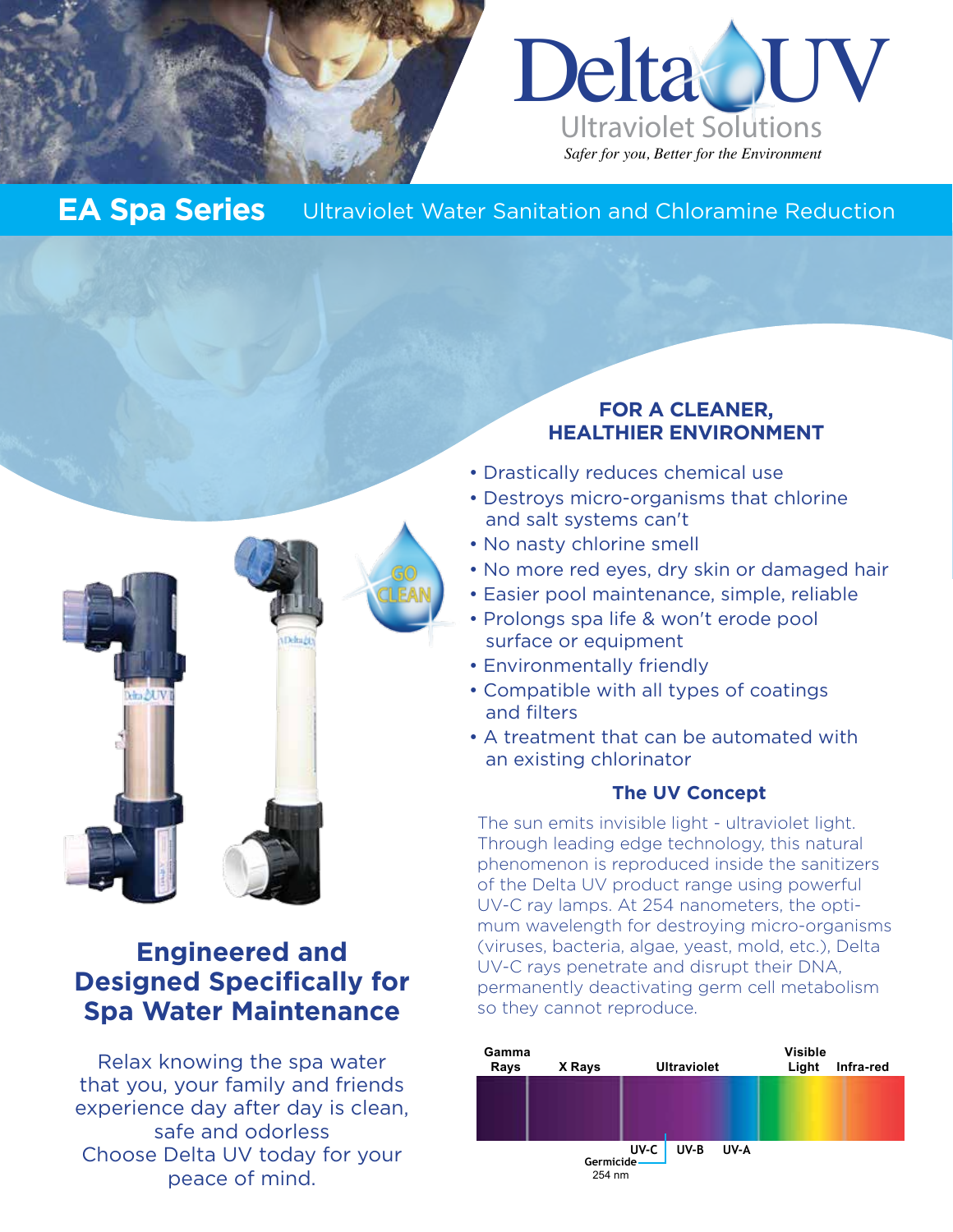



## **EA Spa Series** Ultraviolet Water Sanitation and Chloramine Reduction



# **Engineered and Designed Specifically for Spa Water Maintenance**

Relax knowing the spa water that you, your family and friends experience day after day is clean, safe and odorless Choose Delta UV today for your peace of mind.

### **FOR A CLEANER, HEALTHIER ENVIRONMENT**

- Drastically reduces chemical use
- Destroys micro-organisms that chlorine and salt systems can't
- No nasty chlorine smell
- No more red eyes, dry skin or damaged hair
- Easier pool maintenance, simple, reliable
- Prolongs spa life & won't erode pool surface or equipment
- Environmentally friendly
- Compatible with all types of coatings and filters
- A treatment that can be automated with an existing chlorinator

### **The UV Concept**

The sun emits invisible light - ultraviolet light. Through leading edge technology, this natural phenomenon is reproduced inside the sanitizers of the Delta UV product range using powerful UV-C ray lamps. At 254 nanometers, the optimum wavelength for destroying micro-organisms (viruses, bacteria, algae, yeast, mold, etc.), Delta UV-C rays penetrate and disrupt their DNA, permanently deactivating germ cell metabolism so they cannot reproduce.